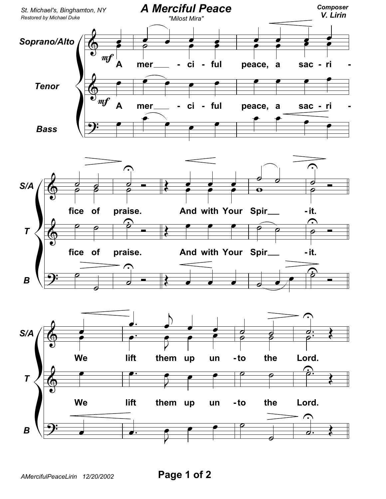